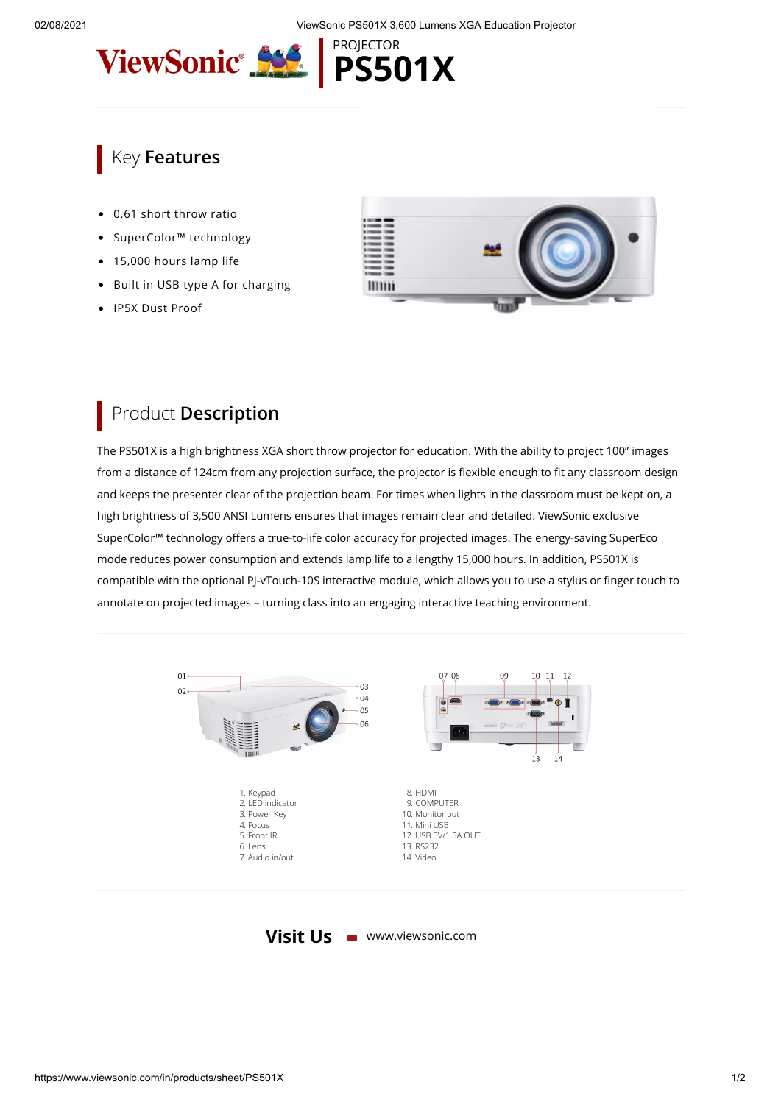

## Key **Features**

- 0.61 short throw ratio
- SuperColor™ technology  $\bullet$
- 15,000 hours lamp life
- Built in USB type A for charging
- IP5X Dust Proof



## Product **Description**

The PS501X is a high brightness XGA short throw projector for education. With the ability to project 100" images from a distance of 124cm from any projection surface, the projector is flexible enough to fit any classroom design and keeps the presenter clear of the projection beam. For times when lights in the classroom must be kept on, a high brightness of 3,500 ANSI Lumens ensures that images remain clear and detailed. ViewSonic exclusive SuperColor™ technology offers a true-to-life color accuracy for projected images. The energy-saving SuperEco mode reduces power consumption and extends lamp life to a lengthy 15,000 hours. In addition, PS501X is compatible with the optional PJ-vTouch-10S interactive module, which allows you to use a stylus or finger touch to annotate on projected images – turning class into an engaging interactive teaching environment.